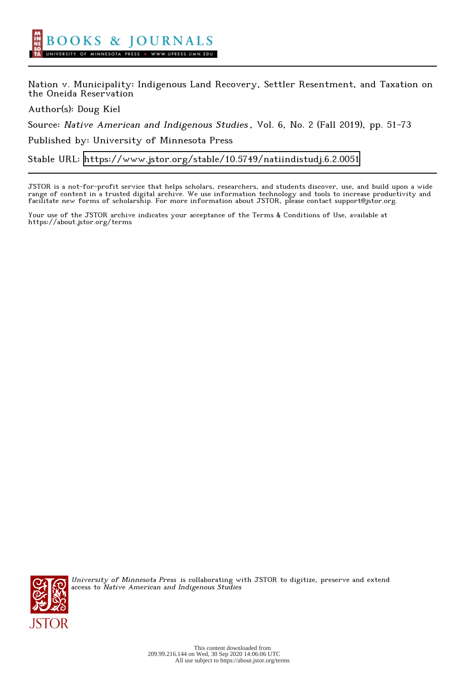Nation v. Municipality: Indigenous Land Recovery, Settler Resentment, and Taxation on the Oneida Reservation

Author(s): Doug Kiel

Source: Native American and Indigenous Studies , Vol. 6, No. 2 (Fall 2019), pp. 51-73

Published by: University of Minnesota Press

Stable URL:<https://www.jstor.org/stable/10.5749/natiindistudj.6.2.0051>

JSTOR is a not-for-profit service that helps scholars, researchers, and students discover, use, and build upon a wide range of content in a trusted digital archive. We use information technology and tools to increase productivity and facilitate new forms of scholarship. For more information about JSTOR, please contact support@jstor.org.

Your use of the JSTOR archive indicates your acceptance of the Terms & Conditions of Use, available at https://about.jstor.org/terms



University of Minnesota Press is collaborating with JSTOR to digitize, preserve and extend access to Native American and Indigenous Studies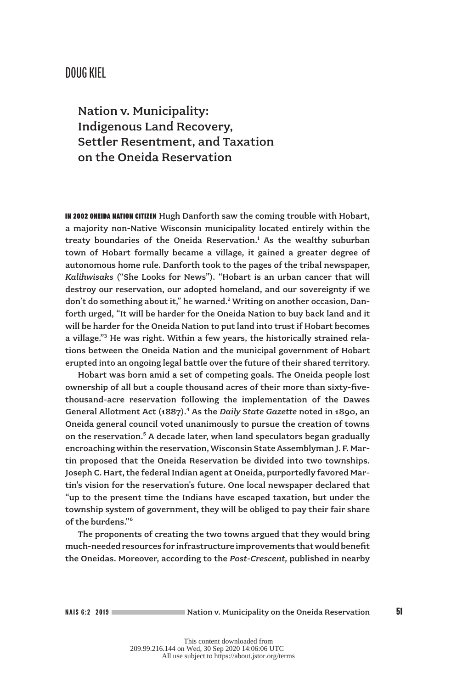## DOUG KIEL

Nation v. Municipality: Indigenous Land Recovery, Settler Resentment, and Taxation on the Oneida Reservation

IN 2002 ONEIDA NATION CITIZEN Hugh Danforth saw the coming trouble with Hobart, a majority non-Native Wisconsin municipality located entirely within the treaty boundaries of the Oneida Reservation. $<sup>1</sup>$  As the wealthy suburban</sup> town of Hobart formally became a village, it gained a greater degree of autonomous home rule. Danforth took to the pages of the tribal newspaper, *Kalihwisaks* ("She Looks for News"). "Hobart is an urban cancer that will destroy our reservation, our adopted homeland, and our sovereignty if we don't do something about it," he warned.<sup>2</sup> Writing on another occasion, Danforth urged, "It will be harder for the Oneida Nation to buy back land and it will be harder for the Oneida Nation to put land into trust if Hobart becomes a village."<sup>3</sup> He was right. Within a few years, the historically strained relations between the Oneida Nation and the municipal government of Hobart erupted into an ongoing legal battle over the future of their shared territory.

Hobart was born amid a set of competing goals. The Oneida people lost ownership of all but a couple thousand acres of their more than sixty-fivethousand-acre reservation following the implementation of the Dawes General Allotment Act (1887).<sup>4</sup> As the Daily State Gazette noted in 1890, an Oneida general council voted unanimously to pursue the creation of towns on the reservation.<sup>5</sup> A decade later, when land speculators began gradually encroaching within the reservation, Wisconsin State Assemblyman J. F. Martin proposed that the Oneida Reservation be divided into two townships. Joseph C. Hart, the federal Indian agent at Oneida, purportedly favored Martin's vision for the reservation's future. One local newspaper declared that "up to the present time the Indians have escaped taxation, but under the township system of government, they will be obliged to pay their fair share of the burdens."6

The proponents of creating the two towns argued that they would bring much-needed resources for infrastructure improvements that would benefit the Oneidas. Moreover, according to the *Post-Crescent,* published in nearby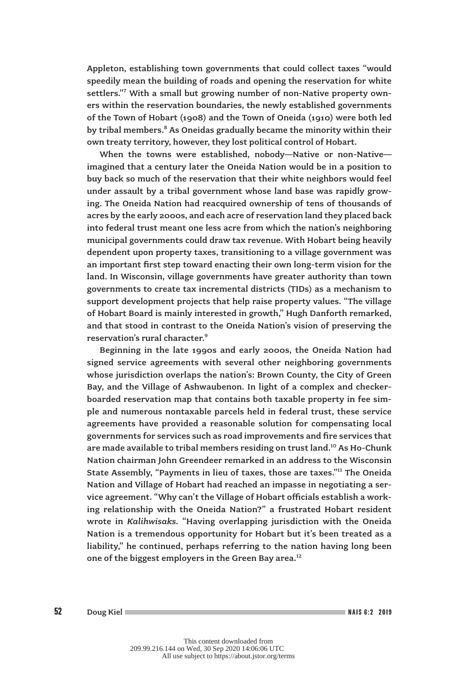Appleton, establishing town governments that could collect taxes "would speedily mean the building of roads and opening the reservation for white settlers."<sup>7</sup> With a small but growing number of non-Native property owners within the reservation boundaries, the newly established governments of the Town of Hobart (1908) and the Town of Oneida (1910) were both led by tribal members.<sup>8</sup> As Oneidas gradually became the minority within their own treaty territory, however, they lost political control of Hobart.

When the towns were established, nobody—Native or non-Native imagined that a century later the Oneida Nation would be in a position to buy back so much of the reservation that their white neighbors would feel under assault by a tribal government whose land base was rapidly growing. The Oneida Nation had reacquired ownership of tens of thousands of acres by the early 2000s, and each acre of reservation land they placed back into federal trust meant one less acre from which the nation's neighboring municipal governments could draw tax revenue. With Hobart being heavily dependent upon property taxes, transitioning to a village government was an important first step toward enacting their own long-term vision for the land. In Wisconsin, village governments have greater authority than town governments to create tax incremental districts (TIDs) as a mechanism to support development projects that help raise property values. "The village of Hobart Board is mainly interested in growth," Hugh Danforth remarked, and that stood in contrast to the Oneida Nation's vision of preserving the reservation's rural character.9

Beginning in the late 1990s and early 2000s, the Oneida Nation had signed service agreements with several other neighboring governments whose jurisdiction overlaps the nation's: Brown County, the City of Green Bay, and the Village of Ashwaubenon. In light of a complex and checkerboarded reservation map that contains both taxable property in fee simple and numerous nontaxable parcels held in federal trust, these service agreements have provided a reasonable solution for compensating local governments for services such as road improvements and fire services that are made available to tribal members residing on trust land.<sup>10</sup> As Ho-Chunk Nation chairman John Greendeer remarked in an address to the Wisconsin State Assembly, "Payments in lieu of taxes, those are taxes."11 The Oneida Nation and Village of Hobart had reached an impasse in negotiating a service agreement. "Why can't the Village of Hobart officials establish a working relationship with the Oneida Nation?" a frustrated Hobart resident wrote in *Kalihwisaks.* "Having overlapping jurisdiction with the Oneida Nation is a tremendous opportunity for Hobart but it's been treated as a liability," he continued, perhaps referring to the nation having long been one of the biggest employers in the Green Bay area.<sup>12</sup>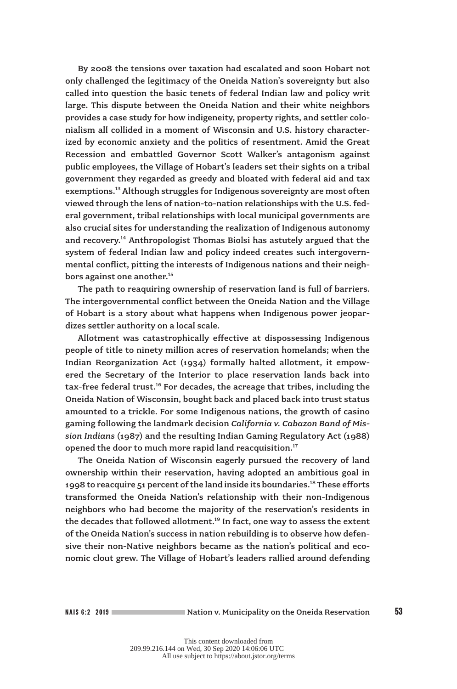By 2008 the tensions over taxation had escalated and soon Hobart not only challenged the legitimacy of the Oneida Nation's sovereignty but also called into question the basic tenets of federal Indian law and policy writ large. This dispute between the Oneida Nation and their white neighbors provides a case study for how indigeneity, property rights, and settler colonialism all collided in a moment of Wisconsin and U.S. history characterized by economic anxiety and the politics of resentment. Amid the Great Recession and embattled Governor Scott Walker's antagonism against public employees, the Village of Hobart's leaders set their sights on a tribal government they regarded as greedy and bloated with federal aid and tax exemptions.<sup>13</sup> Although struggles for Indigenous sovereignty are most often viewed through the lens of nation-to-nation relationships with the U.S. federal government, tribal relationships with local municipal governments are also crucial sites for understanding the realization of Indigenous autonomy and recovery.<sup>14</sup> Anthropologist Thomas Biolsi has astutely argued that the system of federal Indian law and policy indeed creates such intergovernmental conflict, pitting the interests of Indigenous nations and their neighbors against one another.<sup>15</sup>

The path to reaquiring ownership of reservation land is full of barriers. The intergovernmental conflict between the Oneida Nation and the Village of Hobart is a story about what happens when Indigenous power jeopardizes settler authority on a local scale.

Allotment was catastrophically effective at dispossessing Indigenous people of title to ninety million acres of reservation homelands; when the Indian Reorganization Act (1934) formally halted allotment, it empowered the Secretary of the Interior to place reservation lands back into tax-free federal trust.<sup>16</sup> For decades, the acreage that tribes, including the Oneida Nation of Wisconsin, bought back and placed back into trust status amounted to a trickle. For some Indigenous nations, the growth of casino gaming following the landmark decision *California v. Cabazon Band of Mission Indians* (1987) and the resulting Indian Gaming Regulatory Act (1988) opened the door to much more rapid land reacquisition.<sup>17</sup>

The Oneida Nation of Wisconsin eagerly pursued the recovery of land ownership within their reservation, having adopted an ambitious goal in 1998 to reacquire 51 percent of the land inside its boundaries.<sup>18</sup> These efforts transformed the Oneida Nation's relationship with their non-Indigenous neighbors who had become the majority of the reservation's residents in the decades that followed allotment.<sup>19</sup> In fact, one way to assess the extent of the Oneida Nation's success in nation rebuilding is to observe how defensive their non-Native neighbors became as the nation's political and economic clout grew. The Village of Hobart's leaders rallied around defending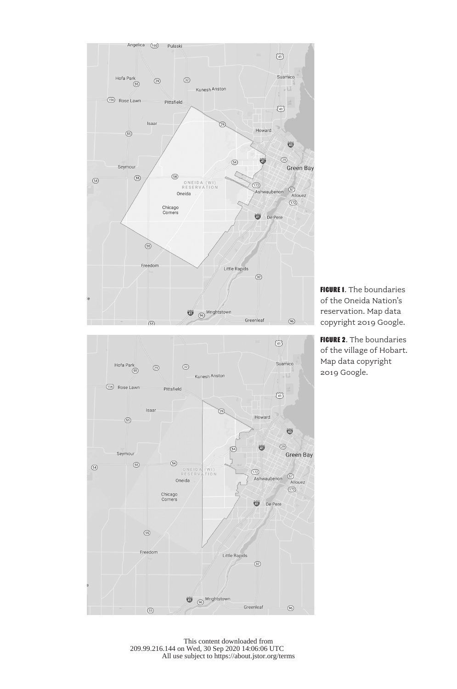



**FIGURE 1.** The boundaries of the Oneida Nation's reservation. Map data copyright 2019 Google.

**FIGURE 2.** The boundaries of the village of Hobart. Map data copyright 2019 Google.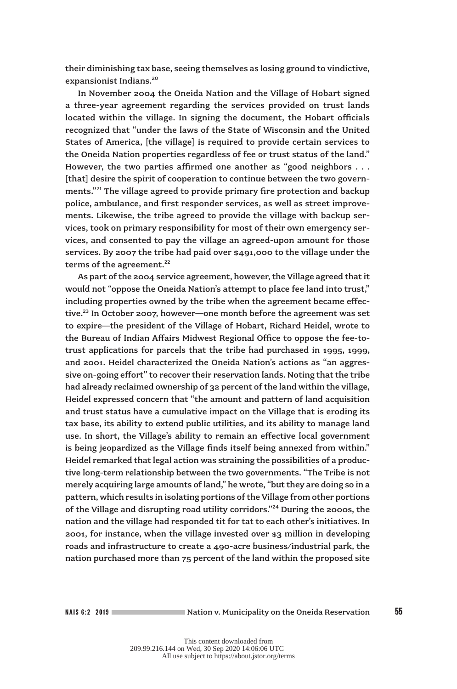their diminishing tax base, seeing themselves as losing ground to vindictive, expansionist Indians.<sup>20</sup>

In November 2004 the Oneida Nation and the Village of Hobart signed a three-year agreement regarding the services provided on trust lands located within the village. In signing the document, the Hobart officials recognized that "under the laws of the State of Wisconsin and the United States of America, [the village] is required to provide certain services to the Oneida Nation properties regardless of fee or trust status of the land." However, the two parties affirmed one another as "good neighbors . . . [that] desire the spirit of cooperation to continue between the two governments."<sup>21</sup> The village agreed to provide primary fire protection and backup police, ambulance, and first responder services, as well as street improvements. Likewise, the tribe agreed to provide the village with backup services, took on primary responsibility for most of their own emergency services, and consented to pay the village an agreed-upon amount for those services. By 2007 the tribe had paid over \$491,000 to the village under the terms of the agreement.<sup>22</sup>

As part of the 2004 service agreement, however, the Village agreed that it would not "oppose the Oneida Nation's attempt to place fee land into trust," including properties owned by the tribe when the agreement became effective.<sup>23</sup> In October 2007, however—one month before the agreement was set to expire—the president of the Village of Hobart, Richard Heidel, wrote to the Bureau of Indian Affairs Midwest Regional Office to oppose the fee-totrust applications for parcels that the tribe had purchased in 1995, 1999, and 2001. Heidel characterized the Oneida Nation's actions as "an aggressive on-going effort" to recover their reservation lands. Noting that the tribe had already reclaimed ownership of 32 percent of the land within the village, Heidel expressed concern that "the amount and pattern of land acquisition and trust status have a cumulative impact on the Village that is eroding its tax base, its ability to extend public utilities, and its ability to manage land use. In short, the Village's ability to remain an effective local government is being jeopardized as the Village finds itself being annexed from within." Heidel remarked that legal action was straining the possibilities of a productive long-term relationship between the two governments. "The Tribe is not merely acquiring large amounts of land," he wrote, "but they are doing so in a pattern, which results in isolating portions of the Village from other portions of the Village and disrupting road utility corridors."24 During the 2000s, the nation and the village had responded tit for tat to each other's initiatives. In 2001, for instance, when the village invested over \$3 million in developing roads and infrastructure to create a 490-acre business/industrial park, the nation purchased more than 75 percent of the land within the proposed site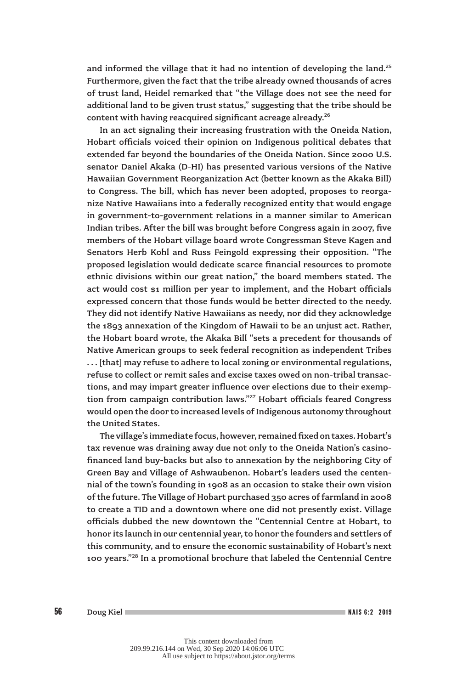and informed the village that it had no intention of developing the land.<sup>25</sup> Furthermore, given the fact that the tribe already owned thousands of acres of trust land, Heidel remarked that "the Village does not see the need for additional land to be given trust status," suggesting that the tribe should be content with having reacquired significant acreage already.<sup>26</sup>

In an act signaling their increasing frustration with the Oneida Nation, Hobart officials voiced their opinion on Indigenous political debates that extended far beyond the boundaries of the Oneida Nation. Since 2000 U.S. senator Daniel Akaka (D-HI) has presented various versions of the Native Hawaiian Government Reorganization Act (better known as the Akaka Bill) to Congress. The bill, which has never been adopted, proposes to reorganize Native Hawaiians into a federally recognized entity that would engage in government-to-government relations in a manner similar to American Indian tribes. After the bill was brought before Congress again in 2007, five members of the Hobart village board wrote Congressman Steve Kagen and Senators Herb Kohl and Russ Feingold expressing their opposition. "The proposed legislation would dedicate scarce financial resources to promote ethnic divisions within our great nation," the board members stated. The act would cost \$1 million per year to implement, and the Hobart officials expressed concern that those funds would be better directed to the needy. They did not identify Native Hawaiians as needy, nor did they acknowledge the 1893 annexation of the Kingdom of Hawaii to be an unjust act. Rather, the Hobart board wrote, the Akaka Bill "sets a precedent for thousands of Native American groups to seek federal recognition as independent Tribes . . . [that] may refuse to adhere to local zoning or environmental regulations, refuse to collect or remit sales and excise taxes owed on non-tribal transactions, and may impart greater influence over elections due to their exemption from campaign contribution laws."<sup>27</sup> Hobart officials feared Congress would open the door to increased levels of Indigenous autonomy throughout the United States.

The village's immediate focus, however, remained fixed on taxes. Hobart's tax revenue was draining away due not only to the Oneida Nation's casinofinanced land buy-backs but also to annexation by the neighboring City of Green Bay and Village of Ashwaubenon. Hobart's leaders used the centennial of the town's founding in 1908 as an occasion to stake their own vision of the future. The Village of Hobart purchased 350 acres of farmland in 2008 to create a TID and a downtown where one did not presently exist. Village officials dubbed the new downtown the "Centennial Centre at Hobart, to honor its launch in our centennial year, to honor the founders and settlers of this community, and to ensure the economic sustainability of Hobart's next 100 years."28 In a promotional brochure that labeled the Centennial Centre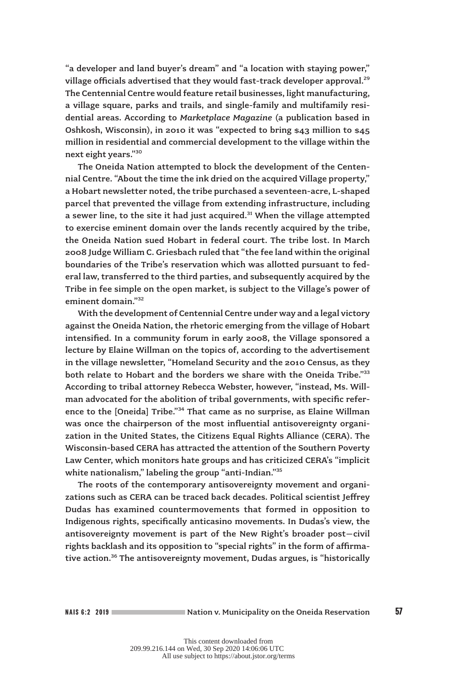"a developer and land buyer's dream" and "a location with staying power," village officials advertised that they would fast-track developer approval.<sup>29</sup> The Centennial Centre would feature retail businesses, light manufacturing, a village square, parks and trails, and single-family and multifamily residential areas. According to *Marketplace Magazine* (a publication based in Oshkosh, Wisconsin), in 2010 it was "expected to bring \$43 million to \$45 million in residential and commercial development to the village within the next eight years."30

The Oneida Nation attempted to block the development of the Centennial Centre. "About the time the ink dried on the acquired Village property," a Hobart newsletter noted, the tribe purchased a seventeen-acre, L-shaped parcel that prevented the village from extending infrastructure, including a sewer line, to the site it had just acquired. $31$  When the village attempted to exercise eminent domain over the lands recently acquired by the tribe, the Oneida Nation sued Hobart in federal court. The tribe lost. In March 2008 Judge William C. Griesbach ruled that "the fee land within the original boundaries of the Tribe's reservation which was allotted pursuant to federal law, transferred to the third parties, and subsequently acquired by the Tribe in fee simple on the open market, is subject to the Village's power of eminent domain."32

With the development of Centennial Centre under way and a legal victory against the Oneida Nation, the rhetoric emerging from the village of Hobart intensified. In a community forum in early 2008, the Village sponsored a lecture by Elaine Willman on the topics of, according to the advertisement in the village newsletter, "Homeland Security and the 2010 Census, as they both relate to Hobart and the borders we share with the Oneida Tribe."33 According to tribal attorney Rebecca Webster, however, "instead, Ms. Willman advocated for the abolition of tribal governments, with specific reference to the [Oneida] Tribe."<sup>34</sup> That came as no surprise, as Elaine Willman was once the chairperson of the most influential antisovereignty organization in the United States, the Citizens Equal Rights Alliance (CERA). The Wisconsin-based CERA has attracted the attention of the Southern Poverty Law Center, which monitors hate groups and has criticized CERA's "implicit white nationalism," labeling the group "anti-Indian."<sup>35</sup>

The roots of the contemporary antisovereignty movement and organizations such as CERA can be traced back decades. Political scientist Jeffrey Dudas has examined countermovements that formed in opposition to Indigenous rights, specifically anticasino movements. In Dudas's view, the antisovereignty movement is part of the New Right's broader post–civil rights backlash and its opposition to "special rights" in the form of affirmative action.<sup>36</sup> The antisovereignty movement, Dudas argues, is "historically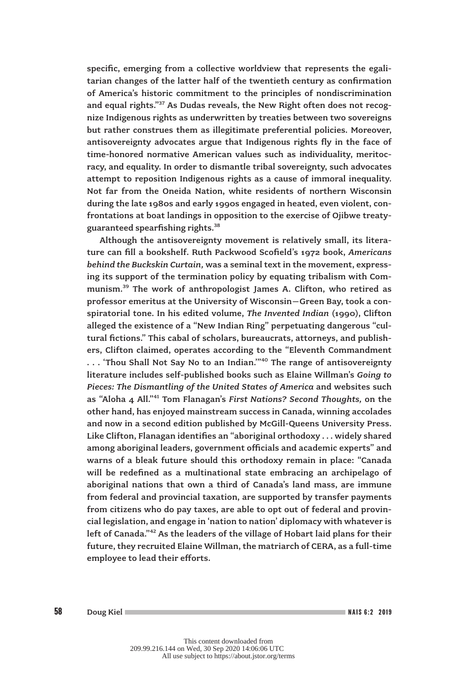specific, emerging from a collective worldview that represents the egalitarian changes of the latter half of the twentieth century as confirmation of America's historic commitment to the principles of nondiscrimination and equal rights."<sup>37</sup> As Dudas reveals, the New Right often does not recognize Indigenous rights as underwritten by treaties between two sovereigns but rather construes them as illegitimate preferential policies. Moreover, antisovereignty advocates argue that Indigenous rights fly in the face of time-honored normative American values such as individuality, meritocracy, and equality. In order to dismantle tribal sovereignty, such advocates attempt to reposition Indigenous rights as a cause of immoral inequality. Not far from the Oneida Nation, white residents of northern Wisconsin during the late 1980s and early 1990s engaged in heated, even violent, confrontations at boat landings in opposition to the exercise of Ojibwe treatyguaranteed spearfishing rights.<sup>38</sup>

Although the antisovereignty movement is relatively small, its literature can fill a bookshelf. Ruth Packwood Scofield's 1972 book, *Americans behind the Buckskin Curtain,* was a seminal text in the movement, expressing its support of the termination policy by equating tribalism with Communism.39 The work of anthropologist James A. Clifton, who retired as professor emeritus at the University of Wisconsin–Green Bay, took a conspiratorial tone. In his edited volume, *The Invented Indian* (1990), Clifton alleged the existence of a "New Indian Ring" perpetuating dangerous "cultural fictions." This cabal of scholars, bureaucrats, attorneys, and publishers, Clifton claimed, operates according to the "Eleventh Commandment ... 'Thou Shall Not Say No to an Indian."<sup>40</sup> The range of antisovereignty literature includes self-published books such as Elaine Willman's *Going to Pieces: The Dismantling of the United States of America* and websites such as "Aloha 4 All."41 Tom Flanagan's *First Nations? Second Thoughts,* on the other hand, has enjoyed mainstream success in Canada, winning accolades and now in a second edition published by McGill-Queens University Press. Like Clifton, Flanagan identifies an "aboriginal orthodoxy . . . widely shared among aboriginal leaders, government officials and academic experts" and warns of a bleak future should this orthodoxy remain in place: "Canada will be redefined as a multinational state embracing an archipelago of aboriginal nations that own a third of Canada's land mass, are immune from federal and provincial taxation, are supported by transfer payments from citizens who do pay taxes, are able to opt out of federal and provincial legislation, and engage in 'nation to nation' diplomacy with whatever is left of Canada."42 As the leaders of the village of Hobart laid plans for their future, they recruited Elaine Willman, the matriarch of CERA, as a full-time employee to lead their efforts.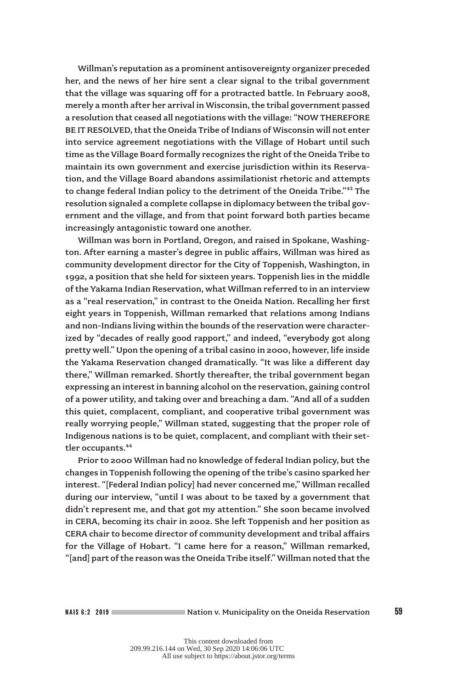Willman's reputation as a prominent antisovereignty organizer preceded her, and the news of her hire sent a clear signal to the tribal government that the village was squaring off for a protracted battle. In February 2008, merely a month after her arrival in Wisconsin, the tribal government passed a resolution that ceased all negotiations with the village: "NOW THEREFORE BE IT RESOLVED, that the Oneida Tribe of Indians of Wisconsin will not enter into service agreement negotiations with the Village of Hobart until such time as the Village Board formally recognizes the right of the Oneida Tribe to maintain its own government and exercise jurisdiction within its Reservation, and the Village Board abandons assimilationist rhetoric and attempts to change federal Indian policy to the detriment of the Oneida Tribe."<sup>43</sup> The resolution signaled a complete collapse in diplomacy between the tribal government and the village, and from that point forward both parties became increasingly antagonistic toward one another.

Willman was born in Portland, Oregon, and raised in Spokane, Washington. After earning a master's degree in public affairs, Willman was hired as community development director for the City of Toppenish, Washington, in 1992, a position that she held for sixteen years. Toppenish lies in the middle of the Yakama Indian Reservation, what Willman referred to in an interview as a "real reservation," in contrast to the Oneida Nation. Recalling her first eight years in Toppenish, Willman remarked that relations among Indians and non-Indians living within the bounds of the reservation were characterized by "decades of really good rapport," and indeed, "everybody got along pretty well." Upon the opening of a tribal casino in 2000, however, life inside the Yakama Reservation changed dramatically. "It was like a different day there," Willman remarked. Shortly thereafter, the tribal government began expressing an interest in banning alcohol on the reservation, gaining control of a power utility, and taking over and breaching a dam. "And all of a sudden this quiet, complacent, compliant, and cooperative tribal government was really worrying people," Willman stated, suggesting that the proper role of Indigenous nations is to be quiet, complacent, and compliant with their settler occupants.<sup>44</sup>

Prior to 2000 Willman had no knowledge of federal Indian policy, but the changes in Toppenish following the opening of the tribe's casino sparked her interest. "[Federal Indian policy] had never concerned me," Willman recalled during our interview, "until I was about to be taxed by a government that didn't represent me, and that got my attention." She soon became involved in CERA, becoming its chair in 2002. She left Toppenish and her position as CERA chair to become director of community development and tribal affairs for the Village of Hobart. "I came here for a reason," Willman remarked, "[and] part of the reason was the Oneida Tribe itself." Willman noted that the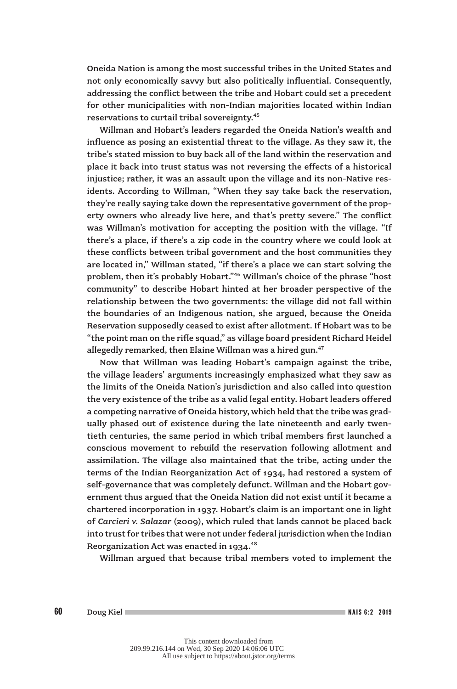Oneida Nation is among the most successful tribes in the United States and not only economically savvy but also politically influential. Consequently, addressing the conflict between the tribe and Hobart could set a precedent for other municipalities with non-Indian majorities located within Indian reservations to curtail tribal sovereignty.45

Willman and Hobart's leaders regarded the Oneida Nation's wealth and influence as posing an existential threat to the village. As they saw it, the tribe's stated mission to buy back all of the land within the reservation and place it back into trust status was not reversing the effects of a historical injustice; rather, it was an assault upon the village and its non-Native residents. According to Willman, "When they say take back the reservation, they're really saying take down the representative government of the property owners who already live here, and that's pretty severe." The conflict was Willman's motivation for accepting the position with the village. "If there's a place, if there's a zip code in the country where we could look at these conflicts between tribal government and the host communities they are located in," Willman stated, "if there's a place we can start solving the problem, then it's probably Hobart."46 Willman's choice of the phrase "host community" to describe Hobart hinted at her broader perspective of the relationship between the two governments: the village did not fall within the boundaries of an Indigenous nation, she argued, because the Oneida Reservation supposedly ceased to exist after allotment. If Hobart was to be "the point man on the rifle squad," as village board president Richard Heidel allegedly remarked, then Elaine Willman was a hired gun.<sup>47</sup>

Now that Willman was leading Hobart's campaign against the tribe, the village leaders' arguments increasingly emphasized what they saw as the limits of the Oneida Nation's jurisdiction and also called into question the very existence of the tribe as a valid legal entity. Hobart leaders offered a competing narrative of Oneida history, which held that the tribe was gradually phased out of existence during the late nineteenth and early twentieth centuries, the same period in which tribal members first launched a conscious movement to rebuild the reservation following allotment and assimilation. The village also maintained that the tribe, acting under the terms of the Indian Reorganization Act of 1934, had restored a system of self-governance that was completely defunct. Willman and the Hobart government thus argued that the Oneida Nation did not exist until it became a chartered incorporation in 1937. Hobart's claim is an important one in light of *Carcieri v. Salazar* (2009), which ruled that lands cannot be placed back into trust for tribes that were not under federal jurisdiction when the Indian Reorganization Act was enacted in  $1934.<sup>48</sup>$ 

Willman argued that because tribal members voted to implement the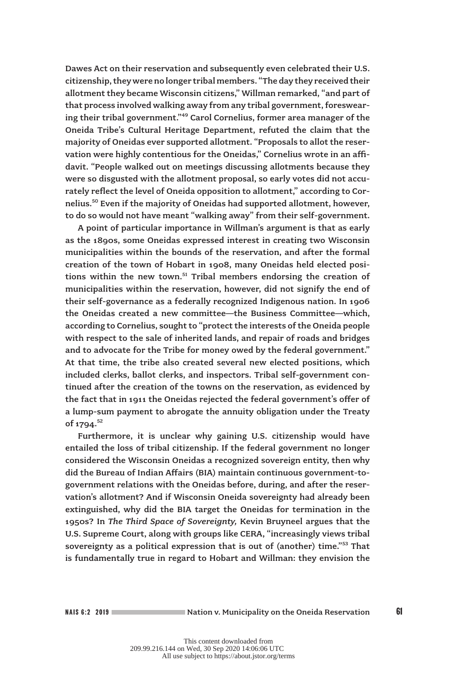Dawes Act on their reservation and subsequently even celebrated their U.S. citizenship, they were no longer tribal members. "The day they received their allotment they became Wisconsin citizens," Willman remarked, "and part of that process involved walking away from any tribal government, foreswearing their tribal government."49 Carol Cornelius, former area manager of the Oneida Tribe's Cultural Heritage Department, refuted the claim that the majority of Oneidas ever supported allotment. "Proposals to allot the reservation were highly contentious for the Oneidas," Cornelius wrote in an affidavit. "People walked out on meetings discussing allotments because they were so disgusted with the allotment proposal, so early votes did not accurately reflect the level of Oneida opposition to allotment," according to Cornelius.50 Even if the majority of Oneidas had supported allotment, however, to do so would not have meant "walking away" from their self-government.

A point of particular importance in Willman's argument is that as early as the 1890s, some Oneidas expressed interest in creating two Wisconsin municipalities within the bounds of the reservation, and after the formal creation of the town of Hobart in 1908, many Oneidas held elected positions within the new town.<sup>51</sup> Tribal members endorsing the creation of municipalities within the reservation, however, did not signify the end of their self-governance as a federally recognized Indigenous nation. In 1906 the Oneidas created a new committee—the Business Committee—which, according to Cornelius, sought to "protect the interests of the Oneida people with respect to the sale of inherited lands, and repair of roads and bridges and to advocate for the Tribe for money owed by the federal government." At that time, the tribe also created several new elected positions, which included clerks, ballot clerks, and inspectors. Tribal self-government continued after the creation of the towns on the reservation, as evidenced by the fact that in 1911 the Oneidas rejected the federal government's offer of a lump-sum payment to abrogate the annuity obligation under the Treaty of 1794.<sup>52</sup>

Furthermore, it is unclear why gaining U.S. citizenship would have entailed the loss of tribal citizenship. If the federal government no longer considered the Wisconsin Oneidas a recognized sovereign entity, then why did the Bureau of Indian Affairs (BIA) maintain continuous government-togovernment relations with the Oneidas before, during, and after the reservation's allotment? And if Wisconsin Oneida sovereignty had already been extinguished, why did the BIA target the Oneidas for termination in the 1950s? In *The Third Space of Sovereignty,* Kevin Bruyneel argues that the U.S. Supreme Court, along with groups like CERA, "increasingly views tribal sovereignty as a political expression that is out of (another) time."53 That is fundamentally true in regard to Hobart and Willman: they envision the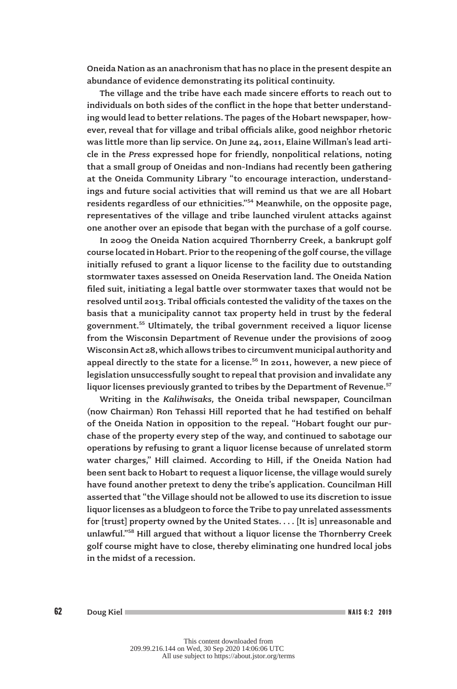Oneida Nation as an anachronism that has no place in the present despite an abundance of evidence demonstrating its political continuity.

The village and the tribe have each made sincere efforts to reach out to individuals on both sides of the conflict in the hope that better understanding would lead to better relations. The pages of the Hobart newspaper, however, reveal that for village and tribal officials alike, good neighbor rhetoric was little more than lip service. On June 24, 2011, Elaine Willman's lead article in the *Press* expressed hope for friendly, nonpolitical relations, noting that a small group of Oneidas and non-Indians had recently been gathering at the Oneida Community Library "to encourage interaction, understandings and future social activities that will remind us that we are all Hobart residents regardless of our ethnicities."54 Meanwhile, on the opposite page, representatives of the village and tribe launched virulent attacks against one another over an episode that began with the purchase of a golf course.

In 2009 the Oneida Nation acquired Thornberry Creek, a bankrupt golf course located in Hobart. Prior to the reopening of the golf course, the village initially refused to grant a liquor license to the facility due to outstanding stormwater taxes assessed on Oneida Reservation land. The Oneida Nation filed suit, initiating a legal battle over stormwater taxes that would not be resolved until 2013. Tribal officials contested the validity of the taxes on the basis that a municipality cannot tax property held in trust by the federal government.55 Ultimately, the tribal government received a liquor license from the Wisconsin Department of Revenue under the provisions of 2009 Wisconsin Act 28, which allows tribes to circumvent municipal authority and appeal directly to the state for a license.<sup>56</sup> In 2011, however, a new piece of legislation unsuccessfully sought to repeal that provision and invalidate any liquor licenses previously granted to tribes by the Department of Revenue.<sup>57</sup>

Writing in the *Kalihwisaks,* the Oneida tribal newspaper, Councilman (now Chairman) Ron Tehassi Hill reported that he had testified on behalf of the Oneida Nation in opposition to the repeal. "Hobart fought our purchase of the property every step of the way, and continued to sabotage our operations by refusing to grant a liquor license because of unrelated storm water charges," Hill claimed. According to Hill, if the Oneida Nation had been sent back to Hobart to request a liquor license, the village would surely have found another pretext to deny the tribe's application. Councilman Hill asserted that "the Village should not be allowed to use its discretion to issue liquor licenses as a bludgeon to force the Tribe to pay unrelated assessments for [trust] property owned by the United States. . . . [It is] unreasonable and unlawful."58 Hill argued that without a liquor license the Thornberry Creek golf course might have to close, thereby eliminating one hundred local jobs in the midst of a recession.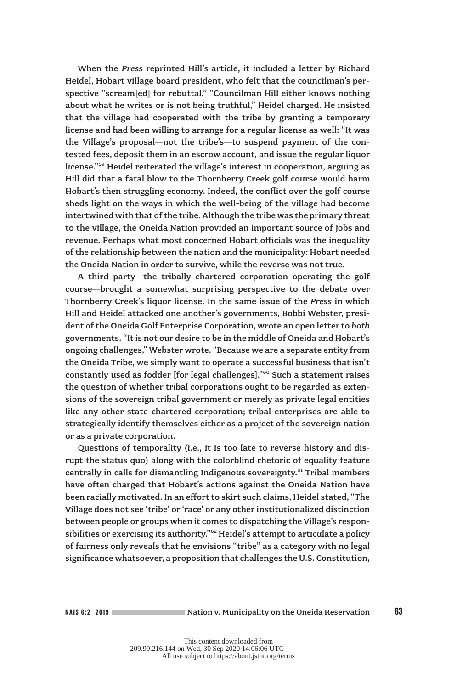When the *Press* reprinted Hill's article, it included a letter by Richard Heidel, Hobart village board president, who felt that the councilman's perspective "scream[ed] for rebuttal." "Councilman Hill either knows nothing about what he writes or is not being truthful," Heidel charged. He insisted that the village had cooperated with the tribe by granting a temporary license and had been willing to arrange for a regular license as well: "It was the Village's proposal—not the tribe's—to suspend payment of the contested fees, deposit them in an escrow account, and issue the regular liquor license."59 Heidel reiterated the village's interest in cooperation, arguing as Hill did that a fatal blow to the Thornberry Creek golf course would harm Hobart's then struggling economy. Indeed, the conflict over the golf course sheds light on the ways in which the well-being of the village had become intertwined with that of the tribe. Although the tribe was the primary threat to the village, the Oneida Nation provided an important source of jobs and revenue. Perhaps what most concerned Hobart officials was the inequality of the relationship between the nation and the municipality: Hobart needed the Oneida Nation in order to survive, while the reverse was not true.

A third party—the tribally chartered corporation operating the golf course—brought a somewhat surprising perspective to the debate over Thornberry Creek's liquor license. In the same issue of the *Press* in which Hill and Heidel attacked one another's governments, Bobbi Webster, president of the Oneida Golf Enterprise Corporation, wrote an open letter to *both* governments. "It is not our desire to be in the middle of Oneida and Hobart's ongoing challenges," Webster wrote. "Because we are a separate entity from the Oneida Tribe, we simply want to operate a successful business that isn't constantly used as fodder [for legal challenges]."<sup>60</sup> Such a statement raises the question of whether tribal corporations ought to be regarded as extensions of the sovereign tribal government or merely as private legal entities like any other state-chartered corporation; tribal enterprises are able to strategically identify themselves either as a project of the sovereign nation or as a private corporation.

Questions of temporality (i.e., it is too late to reverse history and disrupt the status quo) along with the colorblind rhetoric of equality feature centrally in calls for dismantling Indigenous sovereignty.<sup>61</sup> Tribal members have often charged that Hobart's actions against the Oneida Nation have been racially motivated. In an effort to skirt such claims, Heidel stated, "The Village does not see 'tribe' or 'race' or any other institutionalized distinction between people or groups when it comes to dispatching the Village's responsibilities or exercising its authority."<sup>62</sup> Heidel's attempt to articulate a policy of fairness only reveals that he envisions "tribe" as a category with no legal significance whatsoever, a proposition that challenges the U.S. Constitution,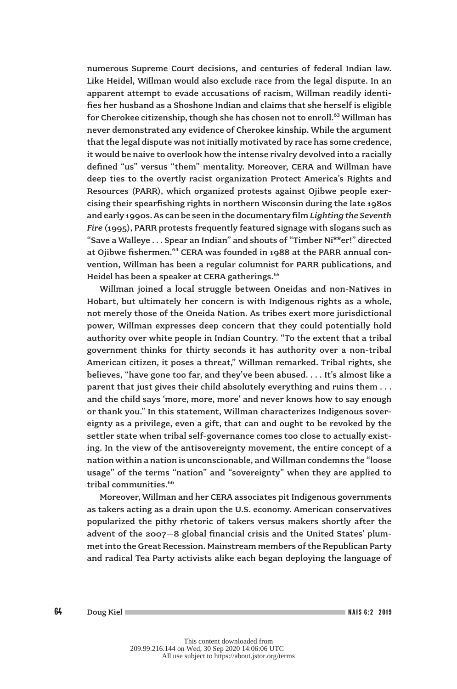numerous Supreme Court decisions, and centuries of federal Indian law. Like Heidel, Willman would also exclude race from the legal dispute. In an apparent attempt to evade accusations of racism, Willman readily identifies her husband as a Shoshone Indian and claims that she herself is eligible for Cherokee citizenship, though she has chosen not to enroll.<sup>63</sup> Willman has never demonstrated any evidence of Cherokee kinship. While the argument that the legal dispute was not initially motivated by race has some credence, it would be naive to overlook how the intense rivalry devolved into a racially defined "us" versus "them" mentality. Moreover, CERA and Willman have deep ties to the overtly racist organization Protect America's Rights and Resources (PARR), which organized protests against Ojibwe people exercising their spearfishing rights in northern Wisconsin during the late 1980s and early 1990s. As can be seen in the documentary film *Lighting the Seventh Fire* (1995), PARR protests frequently featured signage with slogans such as "Save a Walleye . . . Spear an Indian" and shouts of "Timber Ni\*\*er!" directed at Ojibwe fishermen.<sup>64</sup> CERA was founded in 1988 at the PARR annual convention, Willman has been a regular columnist for PARR publications, and Heidel has been a speaker at CERA gatherings.<sup>65</sup>

Willman joined a local struggle between Oneidas and non-Natives in Hobart, but ultimately her concern is with Indigenous rights as a whole, not merely those of the Oneida Nation. As tribes exert more jurisdictional power, Willman expresses deep concern that they could potentially hold authority over white people in Indian Country. "To the extent that a tribal government thinks for thirty seconds it has authority over a non-tribal American citizen, it poses a threat," Willman remarked. Tribal rights, she believes, "have gone too far, and they've been abused. . . . It's almost like a parent that just gives their child absolutely everything and ruins them . . . and the child says 'more, more, more' and never knows how to say enough or thank you." In this statement, Willman characterizes Indigenous sovereignty as a privilege, even a gift, that can and ought to be revoked by the settler state when tribal self-governance comes too close to actually existing. In the view of the antisovereignty movement, the entire concept of a nation within a nation is unconscionable, and Willman condemns the "loose usage" of the terms "nation" and "sovereignty" when they are applied to tribal communities.<sup>66</sup>

Moreover, Willman and her CERA associates pit Indigenous governments as takers acting as a drain upon the U.S. economy. American conservatives popularized the pithy rhetoric of takers versus makers shortly after the advent of the 2007–8 global financial crisis and the United States' plummet into the Great Recession. Mainstream members of the Republican Party and radical Tea Party activists alike each began deploying the language of

 $64$  Doug Kiel NAIS 6:2 2019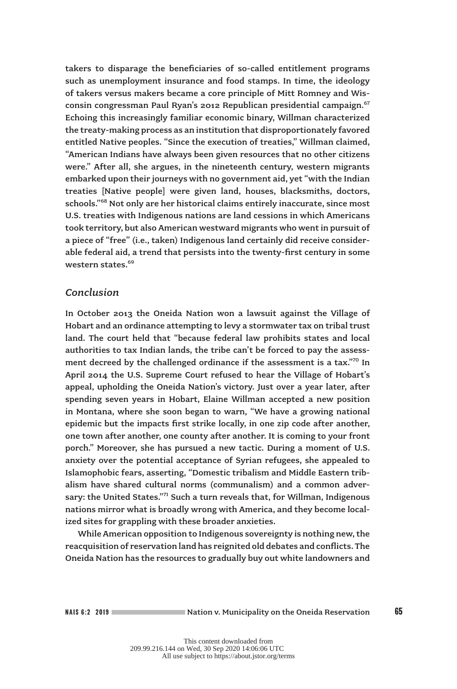takers to disparage the beneficiaries of so-called entitlement programs such as unemployment insurance and food stamps. In time, the ideology of takers versus makers became a core principle of Mitt Romney and Wisconsin congressman Paul Ryan's 2012 Republican presidential campaign.<sup>67</sup> Echoing this increasingly familiar economic binary, Willman characterized the treaty-making process as an institution that disproportionately favored entitled Native peoples. "Since the execution of treaties," Willman claimed, "American Indians have always been given resources that no other citizens were." After all, she argues, in the nineteenth century, western migrants embarked upon their journeys with no government aid, yet "with the Indian treaties [Native people] were given land, houses, blacksmiths, doctors, schools."<sup>68</sup> Not only are her historical claims entirely inaccurate, since most U.S. treaties with Indigenous nations are land cessions in which Americans took territory, but also American westward migrants who went in pursuit of a piece of "free" (i.e., taken) Indigenous land certainly did receive considerable federal aid, a trend that persists into the twenty-first century in some western states.<sup>69</sup>

## *Conclusion*

In October 2013 the Oneida Nation won a lawsuit against the Village of Hobart and an ordinance attempting to levy a stormwater tax on tribal trust land. The court held that "because federal law prohibits states and local authorities to tax Indian lands, the tribe can't be forced to pay the assessment decreed by the challenged ordinance if the assessment is a tax." $\frac{1}{2}$  In April 2014 the U.S. Supreme Court refused to hear the Village of Hobart's appeal, upholding the Oneida Nation's victory. Just over a year later, after spending seven years in Hobart, Elaine Willman accepted a new position in Montana, where she soon began to warn, "We have a growing national epidemic but the impacts first strike locally, in one zip code after another, one town after another, one county after another. It is coming to your front porch." Moreover, she has pursued a new tactic. During a moment of U.S. anxiety over the potential acceptance of Syrian refugees, she appealed to Islamophobic fears, asserting, "Domestic tribalism and Middle Eastern tribalism have shared cultural norms (communalism) and a common adversary: the United States."<sup>71</sup> Such a turn reveals that, for Willman, Indigenous nations mirror what is broadly wrong with America, and they become localized sites for grappling with these broader anxieties.

While American opposition to Indigenous sovereignty is nothing new, the reacquisition of reservation land has reignited old debates and conflicts. The Oneida Nation has the resources to gradually buy out white landowners and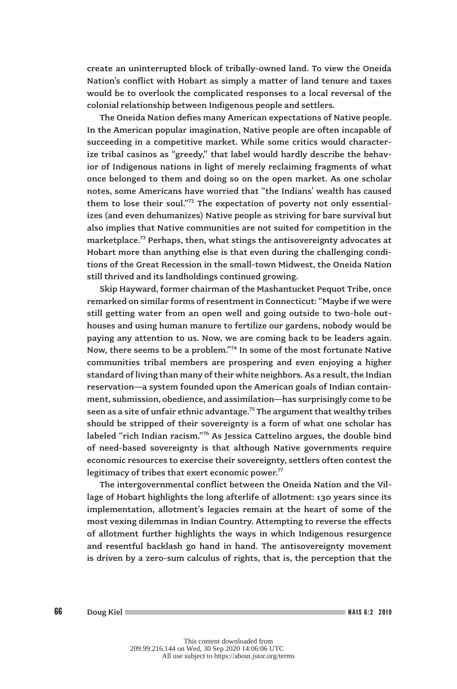create an uninterrupted block of tribally-owned land. To view the Oneida Nation's conflict with Hobart as simply a matter of land tenure and taxes would be to overlook the complicated responses to a local reversal of the colonial relationship between Indigenous people and settlers.

The Oneida Nation defies many American expectations of Native people. In the American popular imagination, Native people are often incapable of succeeding in a competitive market. While some critics would characterize tribal casinos as "greedy," that label would hardly describe the behavior of Indigenous nations in light of merely reclaiming fragments of what once belonged to them and doing so on the open market. As one scholar notes, some Americans have worried that "the Indians' wealth has caused them to lose their soul."<sup>72</sup> The expectation of poverty not only essentializes (and even dehumanizes) Native people as striving for bare survival but also implies that Native communities are not suited for competition in the marketplace.<sup>73</sup> Perhaps, then, what stings the antisovereignty advocates at Hobart more than anything else is that even during the challenging conditions of the Great Recession in the small-town Midwest, the Oneida Nation still thrived and its landholdings continued growing.

Skip Hayward, former chairman of the Mashantucket Pequot Tribe, once remarked on similar forms of resentment in Connecticut: "Maybe if we were still getting water from an open well and going outside to two-hole outhouses and using human manure to fertilize our gardens, nobody would be paying any attention to us. Now, we are coming back to be leaders again. Now, there seems to be a problem."74 In some of the most fortunate Native communities tribal members are prospering and even enjoying a higher standard of living than many of their white neighbors. As a result, the Indian reservation—a system founded upon the American goals of Indian containment, submission, obedience, and assimilation—has surprisingly come to be seen as a site of unfair ethnic advantage.<sup>75</sup> The argument that wealthy tribes should be stripped of their sovereignty is a form of what one scholar has labeled "rich Indian racism."76 As Jessica Cattelino argues, the double bind of need-based sovereignty is that although Native governments require economic resources to exercise their sovereignty, settlers often contest the legitimacy of tribes that exert economic power. $77$ 

The intergovernmental conflict between the Oneida Nation and the Village of Hobart highlights the long afterlife of allotment: 130 years since its implementation, allotment's legacies remain at the heart of some of the most vexing dilemmas in Indian Country. Attempting to reverse the effects of allotment further highlights the ways in which Indigenous resurgence and resentful backlash go hand in hand. The antisovereignty movement is driven by a zero-sum calculus of rights, that is, the perception that the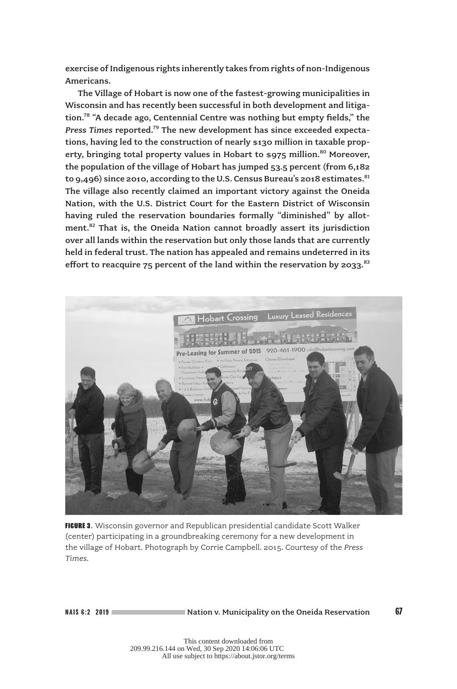exercise of Indigenous rights inherently takes from rights of non-Indigenous Americans.

The Village of Hobart is now one of the fastest-growing municipalities in Wisconsin and has recently been successful in both development and litigation.<sup>78</sup> "A decade ago, Centennial Centre was nothing but empty fields," the *Press Times* reported.79 The new development has since exceeded expectations, having led to the construction of nearly \$130 million in taxable property, bringing total property values in Hobart to \$975 million.<sup>80</sup> Moreover, the population of the village of Hobart has jumped 53.5 percent (from 6,182 to 9,496) since 2010, according to the U.S. Census Bureau's 2018 estimates.  $81$ The village also recently claimed an important victory against the Oneida Nation, with the U.S. District Court for the Eastern District of Wisconsin having ruled the reservation boundaries formally "diminished" by allotment.<sup>82</sup> That is, the Oneida Nation cannot broadly assert its jurisdiction over all lands within the reservation but only those lands that are currently held in federal trust. The nation has appealed and remains undeterred in its effort to reacquire  $75$  percent of the land within the reservation by 2033.<sup>83</sup>



FIGURE 3. Wisconsin governor and Republican presidential candidate Scott Walker (center) participating in a groundbreaking ceremony for a new development in the village of Hobart. Photograph by Corrie Campbell. 2015. Courtesy of the *Press Times.*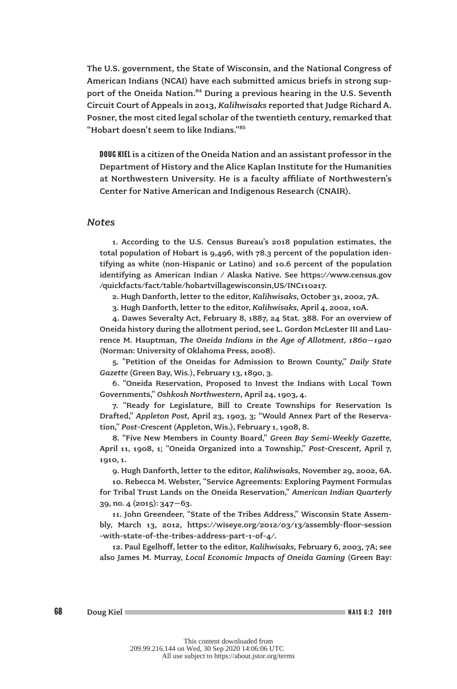The U.S. government, the State of Wisconsin, and the National Congress of American Indians (NCAI) have each submitted amicus briefs in strong support of the Oneida Nation.<sup>84</sup> During a previous hearing in the U.S. Seventh Circuit Court of Appeals in 2013, *Kalihwisaks* reported that Judge Richard A. Posner, the most cited legal scholar of the twentieth century, remarked that "Hobart doesn't seem to like Indians."85

DOUG KIEL is a citizen of the Oneida Nation and an assistant professor in the Department of History and the Alice Kaplan Institute for the Humanities at Northwestern University. He is a faculty affiliate of Northwestern's Center for Native American and Indigenous Research (CNAIR).

## *Notes*

1. According to the U.S. Census Bureau's 2018 population estimates, the total population of Hobart is 9,496, with 78.3 percent of the population identifying as white (non-Hispanic or Latino) and 10.6 percent of the population identifying as American Indian / Alaska Native. See https://www.census.gov /quickfacts/fact/table/hobartvillagewisconsin,US/INC110217.

2. Hugh Danforth, letter to the editor, *Kalihwisaks,* October 31, 2002, 7A.

3. Hugh Danforth, letter to the editor, *Kalihwisaks,* April 4, 2002, 10A.

4. Dawes Severalty Act, February 8, 1887, 24 Stat. 388. For an overview of Oneida history during the allotment period, see L. Gordon McLester III and Laurence M. Hauptman, *The Oneida Indians in the Age of Allotment, 1860–1920* (Norman: University of Oklahoma Press, 2008).

5. "Petition of the Oneidas for Admission to Brown County," *Daily State Gazette* (Green Bay, Wis.), February 13, 1890, 3.

6. "Oneida Reservation, Proposed to Invest the Indians with Local Town Governments," *Oshkosh Northwestern,* April 24, 1903, 4.

7. "Ready for Legislature, Bill to Create Townships for Reservation Is Drafted," *Appleton Post,* April 23, 1903, 3; "Would Annex Part of the Reservation," *Post-Crescent* (Appleton, Wis.), February 1, 1908, 8.

8. "Five New Members in County Board," *Green Bay Semi-Weekly Gazette,* April 11, 1908, 1; "Oneida Organized into a Township," *Post-Crescent,* April 7, 1910, 1.

9. Hugh Danforth, letter to the editor, *Kalihwisaks,* November 29, 2002, 6A.

10. Rebecca M. Webster, "Service Agreements: Exploring Payment Formulas for Tribal Trust Lands on the Oneida Reservation," *American Indian Quarterly* 39, no. 4 (2015): 347–63.

11. John Greendeer, "State of the Tribes Address," Wisconsin State Assembly, March 13, 2012, https://wiseye.org/2012/03/13/assembly-floor-session -with-state-of-the-tribes-address-part-1-of-4/.

12. Paul Egelhoff, letter to the editor, *Kalihwisaks,* February 6, 2003, 7A; see also James M. Murray, *Local Economic Impacts of Oneida Gaming* (Green Bay: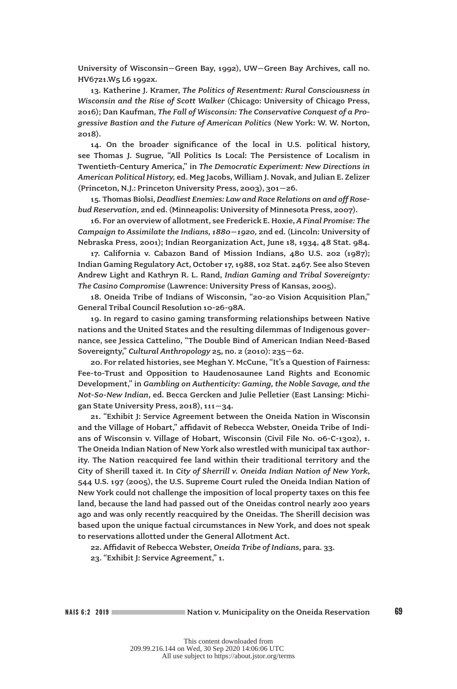University of Wisconsin–Green Bay, 1992), UW–Green Bay Archives, call no. HV6721.W5 L6 1992x.

13. Katherine J. Kramer, *The Politics of Resentment: Rural Consciousness in Wisconsin and the Rise of Scott Walker* (Chicago: University of Chicago Press, 2016); Dan Kaufman, *The Fall of Wisconsin: The Conservative Conquest of a Progressive Bastion and the Future of American Politics* (New York: W. W. Norton, 2018).

14. On the broader significance of the local in U.S. political history, see Thomas J. Sugrue, "All Politics Is Local: The Persistence of Localism in Twentieth-Century America," in *The Democratic Experiment: New Directions in American Political History,* ed. Meg Jacobs, William J. Novak, and Julian E. Zelizer (Princeton, N.J.: Princeton University Press, 2003), 301–26.

15. Thomas Biolsi, *Deadliest Enemies: Law and Race Relations on and off Rosebud Reservation,* 2nd ed. (Minneapolis: University of Minnesota Press, 2007).

16. For an overview of allotment, see Frederick E. Hoxie, *A Final Promise: The Campaign to Assimilate the Indians, 1880–1920,* 2nd ed. (Lincoln: University of Nebraska Press, 2001); Indian Reorganization Act, June 18, 1934, 48 Stat. 984.

17. California v. Cabazon Band of Mission Indians, 480 U.S. 202 (1987); Indian Gaming Regulatory Act, October 17, 1988, 102 Stat. 2467. See also Steven Andrew Light and Kathryn R. L. Rand, *Indian Gaming and Tribal Sovereignty: The Casino Compromise* (Lawrence: University Press of Kansas, 2005).

18. Oneida Tribe of Indians of Wisconsin, "20-20 Vision Acquisition Plan," General Tribal Council Resolution 10-26-98A.

19. In regard to casino gaming transforming relationships between Native nations and the United States and the resulting dilemmas of Indigenous governance, see Jessica Cattelino, "The Double Bind of American Indian Need-Based Sovereignty," *Cultural Anthropology* 25, no. 2 (2010): 235–62.

20. For related histories, see Meghan Y. McCune, "It's a Question of Fairness: Fee-to-Trust and Opposition to Haudenosaunee Land Rights and Economic Development," in *Gambling on Authenticity: Gaming, the Noble Savage, and the Not-So-New Indian*, ed. Becca Gercken and Julie Pelletier (East Lansing: Michigan State University Press, 2018), 111–34.

21. "Exhibit J: Service Agreement between the Oneida Nation in Wisconsin and the Village of Hobart," affidavit of Rebecca Webster, Oneida Tribe of Indians of Wisconsin v. Village of Hobart, Wisconsin (Civil File No. 06-C-1302), 1. The Oneida Indian Nation of New York also wrestled with municipal tax authority. The Nation reacquired fee land within their traditional territory and the City of Sherill taxed it. In *City of Sherrill v. Oneida Indian Nation of New York*, 544 U.S. 197 (2005), the U.S. Supreme Court ruled the Oneida Indian Nation of New York could not challenge the imposition of local property taxes on this fee land, because the land had passed out of the Oneidas control nearly 200 years ago and was only recently reacquired by the Oneidas. The Sherill decision was based upon the unique factual circumstances in New York, and does not speak to reservations allotted under the General Allotment Act.

22. Affidavit of Rebecca Webster, *Oneida Tribe of Indians*, para. 33.

23. "Exhibit J: Service Agreement," 1.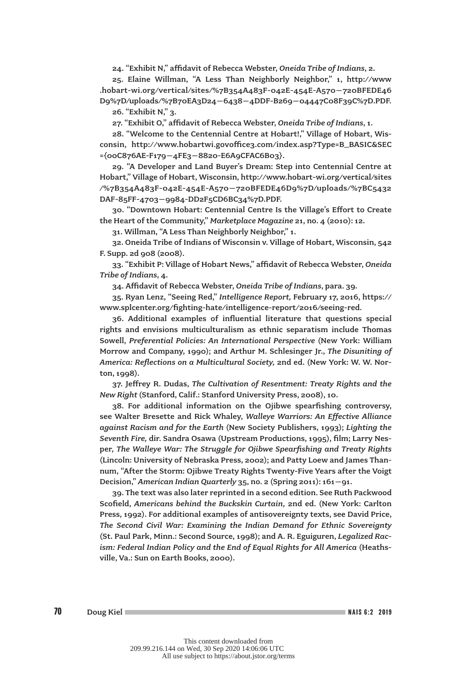24. "Exhibit N," affidavit of Rebecca Webster, *Oneida Tribe of Indians*, 2.

25. Elaine Willman, "A Less Than Neighborly Neighbor," 1, http://www .hobart-wi.org/vertical/sites/%7B354A483F-042E-454E-A570–720BFEDE46 D9%7D/uploads/%7B70EA3D24–6438–4DDF-B269–04447C08F39C%7D.PDF.

26. "Exhibit N," 3.

27. "Exhibit O," affidavit of Rebecca Webster, *Oneida Tribe of Indians*, 1.

28. "Welcome to the Centennial Centre at Hobart!," Village of Hobart, Wisconsin, http://www.hobartwi.govoffice3.com/index.asp?Type=B\_BASIC&SEC ={00C876AE-F179–4FE3–8820-E6A9CFAC6B03}.

29. "A Developer and Land Buyer's Dream: Step into Centennial Centre at Hobart," Village of Hobart, Wisconsin, http://www.hobart-wi.org/vertical/sites /%7B354A483F-042E-454E-A570–720BFEDE46D9%7D/uploads/%7BC5432 DAF-85FF-4703–9984-DD2F5CD6BC34%7D.PDF.

30. "Downtown Hobart: Centennial Centre Is the Village's Effort to Create the Heart of the Community," *Marketplace Magazine* 21, no. 4 (2010): 12.

31. Willman, "A Less Than Neighborly Neighbor," 1.

32. Oneida Tribe of Indians of Wisconsin v. Village of Hobart, Wisconsin, 542 F. Supp. 2d 908 (2008).

33. "Exhibit P: Village of Hobart News," affidavit of Rebecca Webster, *Oneida Tribe of Indians*, 4.

34. Affidavit of Rebecca Webster, *Oneida Tribe of Indians*, para. 39.

35. Ryan Lenz, "Seeing Red," *Intelligence Report,* February 17, 2016, https:// www.splcenter.org/fighting-hate/intelligence-report/2016/seeing-red.

36. Additional examples of influential literature that questions special rights and envisions multiculturalism as ethnic separatism include Thomas Sowell, *Preferential Policies: An International Perspective* (New York: William Morrow and Company, 1990); and Arthur M. Schlesinger Jr., *The Disuniting of America: Reflections on a Multicultural Society,* 2nd ed. (New York: W. W. Norton, 1998).

37. Jeffrey R. Dudas, *The Cultivation of Resentment: Treaty Rights and the New Right* (Stanford, Calif.: Stanford University Press, 2008), 10.

38. For additional information on the Ojibwe spearfishing controversy, see Walter Bresette and Rick Whaley, *Walleye Warriors: An Effective Alliance against Racism and for the Earth* (New Society Publishers, 1993); *Lighting the Seventh Fire,* dir. Sandra Osawa (Upstream Productions, 1995), film; Larry Nesper, *The Walleye War: The Struggle for Ojibwe Spearfishing and Treaty Rights* (Lincoln: University of Nebraska Press, 2002); and Patty Loew and James Thannum, "After the Storm: Ojibwe Treaty Rights Twenty-Five Years after the Voigt Decision," *American Indian Quarterly* 35, no. 2 (Spring 2011): 161–91.

39. The text was also later reprinted in a second edition. See Ruth Packwood Scofield, *Americans behind the Buckskin Curtain,* 2nd ed. (New York: Carlton Press, 1992). For additional examples of antisovereignty texts, see David Price, *The Second Civil War: Examining the Indian Demand for Ethnic Sovereignty* (St. Paul Park, Minn.: Second Source, 1998); and A. R. Eguiguren, *Legalized Racism: Federal Indian Policy and the End of Equal Rights for All America* (Heathsville, Va.: Sun on Earth Books, 2000).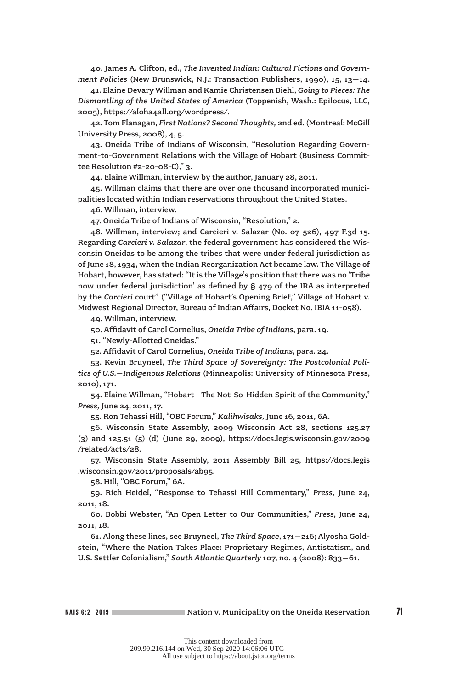40. James A. Clifton, ed., *The Invented Indian: Cultural Fictions and Government Policies* (New Brunswick, N.J.: Transaction Publishers, 1990), 15, 13–14.

41. Elaine Devary Willman and Kamie Christensen Biehl, *Going to Pieces: The Dismantling of the United States of America* (Toppenish, Wash.: Epilocus, LLC, 2005), https://aloha4all.org/wordpress/.

42. Tom Flanagan, *First Nations? Second Thoughts,* 2nd ed. (Montreal: McGill University Press, 2008), 4, 5.

43. Oneida Tribe of Indians of Wisconsin, "Resolution Regarding Government-to-Government Relations with the Village of Hobart (Business Committee Resolution #2-20-08-C)," 3.

44. Elaine Willman, interview by the author, January 28, 2011.

45. Willman claims that there are over one thousand incorporated municipalities located within Indian reservations throughout the United States.

46. Willman, interview.

47. Oneida Tribe of Indians of Wisconsin, "Resolution," 2.

48. Willman, interview; and Carcieri v. Salazar (No. 07-526), 497 F.3d 15. Regarding *Carcieri v. Salazar*, the federal government has considered the Wisconsin Oneidas to be among the tribes that were under federal jurisdiction as of June 18, 1934, when the Indian Reorganization Act became law. The Village of Hobart, however, has stated: "It is the Village's position that there was no 'Tribe now under federal jurisdiction' as defined by § 479 of the IRA as interpreted by the *Carcieri* court" ("Village of Hobart's Opening Brief," Village of Hobart v. Midwest Regional Director, Bureau of Indian Affairs, Docket No. IBIA 11-058).

49. Willman, interview.

50. Affidavit of Carol Cornelius, *Oneida Tribe of Indians*, para. 19.

51. "Newly-Allotted Oneidas."

52. Affidavit of Carol Cornelius, *Oneida Tribe of Indians*, para. 24.

53. Kevin Bruyneel, *The Third Space of Sovereignty: The Postcolonial Politics of U.S.–Indigenous Relations* (Minneapolis: University of Minnesota Press, 2010), 171.

54. Elaine Willman, "Hobart—The Not-So-Hidden Spirit of the Community," *Press,* June 24, 2011, 17.

55. Ron Tehassi Hill, "OBC Forum," *Kalihwisaks,* June 16, 2011, 6A.

56. Wisconsin State Assembly, 2009 Wisconsin Act 28, sections 125.27 (3) and 125.51 (5) (d) (June 29, 2009), https://docs.legis.wisconsin.gov/2009 /related/acts/28.

57. Wisconsin State Assembly, 2011 Assembly Bill 25, https://docs.legis .wisconsin.gov/2011/proposals/ab95.

58. Hill, "OBC Forum," 6A.

59. Rich Heidel, "Response to Tehassi Hill Commentary," *Press,* June 24, 2011, 18.

60. Bobbi Webster, "An Open Letter to Our Communities," *Press,* June 24, 2011, 18.

61. Along these lines, see Bruyneel, *The Third Space*, 171–216; Alyosha Goldstein, "Where the Nation Takes Place: Proprietary Regimes, Antistatism, and U.S. Settler Colonialism," *South Atlantic Quarterly* 107, no. 4 (2008): 833–61.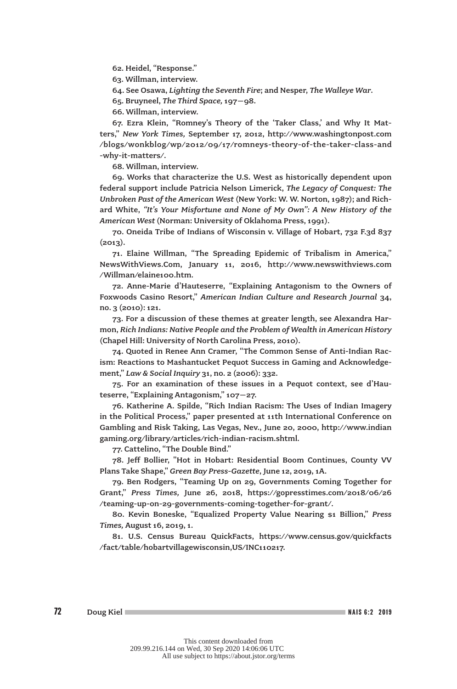62. Heidel, "Response."

63. Willman, interview.

64. See Osawa, *Lighting the Seventh Fire*; and Nesper, *The Walleye War*.

65. Bruyneel, *The Third Space,* 197–98.

66. Willman, interview.

67. Ezra Klein, "Romney's Theory of the 'Taker Class,' and Why It Matters," *New York Times,* September 17, 2012, http://www.washingtonpost.com /blogs/wonkblog/wp/2012/09/17/romneys-theory-of-the-taker-class-and -why-it-matters/.

68. Willman, interview.

69. Works that characterize the U.S. West as historically dependent upon federal support include Patricia Nelson Limerick, *The Legacy of Conquest: The Unbroken Past of the American West* (New York: W. W. Norton, 1987); and Richard White, *"It's Your Misfortune and None of My Own": A New History of the American West* (Norman: University of Oklahoma Press, 1991).

70. Oneida Tribe of Indians of Wisconsin v. Village of Hobart, 732 F.3d 837  $(2013).$ 

71. Elaine Willman, "The Spreading Epidemic of Tribalism in America," NewsWithViews.Com, January 11, 2016, http://www.newswithviews.com /Willman/elaine100.htm.

72. Anne-Marie d'Hauteserre, "Explaining Antagonism to the Owners of Foxwoods Casino Resort," *American Indian Culture and Research Journal* 34, no. 3 (2010): 121.

73. For a discussion of these themes at greater length, see Alexandra Harmon, *Rich Indians: Native People and the Problem of Wealth in American History* (Chapel Hill: University of North Carolina Press, 2010).

74. Quoted in Renee Ann Cramer, "The Common Sense of Anti-Indian Racism: Reactions to Mashantucket Pequot Success in Gaming and Acknowledgement," *Law & Social Inquiry* 31, no. 2 (2006): 332.

75. For an examination of these issues in a Pequot context, see d'Hauteserre, "Explaining Antagonism," 107–27.

76. Katherine A. Spilde, "Rich Indian Racism: The Uses of Indian Imagery in the Political Process," paper presented at 11th International Conference on Gambling and Risk Taking, Las Vegas, Nev., June 20, 2000, http://www.indian gaming.org/library/articles/rich-indian-racism.shtml.

77. Cattelino, "The Double Bind."

78. Jeff Bollier, "Hot in Hobart: Residential Boom Continues, County VV Plans Take Shape," *Green Bay Press-Gazette*, June 12, 2019, 1A.

79. Ben Rodgers, "Teaming Up on 29, Governments Coming Together for Grant," *Press Times,* June 26, 2018, https://gopresstimes.com/2018/06/26 /teaming-up-on-29-governments-coming-together-for-grant/.

80. Kevin Boneske, "Equalized Property Value Nearing \$1 Billion," *Press Times,* August 16, 2019, 1.

81. U.S. Census Bureau QuickFacts, https://www.census.gov/quickfacts /fact/table/hobartvillagewisconsin,US/INC110217.